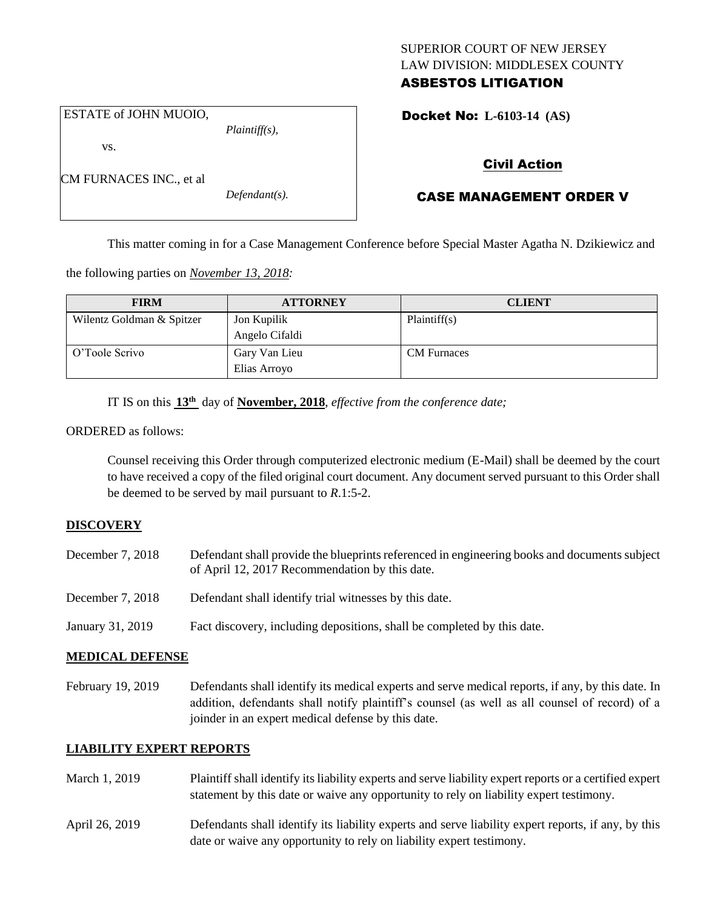### SUPERIOR COURT OF NEW JERSEY LAW DIVISION: MIDDLESEX COUNTY ASBESTOS LITIGATION

ESTATE of JOHN MUOIO,

vs.

CM FURNACES INC., et al

*Defendant(s).*

*Plaintiff(s),*

Docket No: **L-6103-14 (AS)** 

# Civil Action

# CASE MANAGEMENT ORDER V

This matter coming in for a Case Management Conference before Special Master Agatha N. Dzikiewicz and

the following parties on *November 13, 2018:*

| <b>FIRM</b>               | <b>ATTORNEY</b> | <b>CLIENT</b>      |
|---------------------------|-----------------|--------------------|
| Wilentz Goldman & Spitzer | Jon Kupilik     | Plaintiff(s)       |
|                           | Angelo Cifaldi  |                    |
| O'Toole Scrivo            | Gary Van Lieu   | <b>CM</b> Furnaces |
|                           | Elias Arroyo    |                    |

IT IS on this **13th** day of **November, 2018**, *effective from the conference date;*

ORDERED as follows:

Counsel receiving this Order through computerized electronic medium (E-Mail) shall be deemed by the court to have received a copy of the filed original court document. Any document served pursuant to this Order shall be deemed to be served by mail pursuant to *R*.1:5-2.

### **DISCOVERY**

December 7, 2018 Defendant shall provide the blueprints referenced in engineering books and documents subject of April 12, 2017 Recommendation by this date. December 7, 2018 Defendant shall identify trial witnesses by this date. January 31, 2019 Fact discovery, including depositions, shall be completed by this date.

# **MEDICAL DEFENSE**

February 19, 2019 Defendants shall identify its medical experts and serve medical reports, if any, by this date. In addition, defendants shall notify plaintiff's counsel (as well as all counsel of record) of a joinder in an expert medical defense by this date.

## **LIABILITY EXPERT REPORTS**

- March 1, 2019 Plaintiff shall identify its liability experts and serve liability expert reports or a certified expert statement by this date or waive any opportunity to rely on liability expert testimony.
- April 26, 2019 Defendants shall identify its liability experts and serve liability expert reports, if any, by this date or waive any opportunity to rely on liability expert testimony.